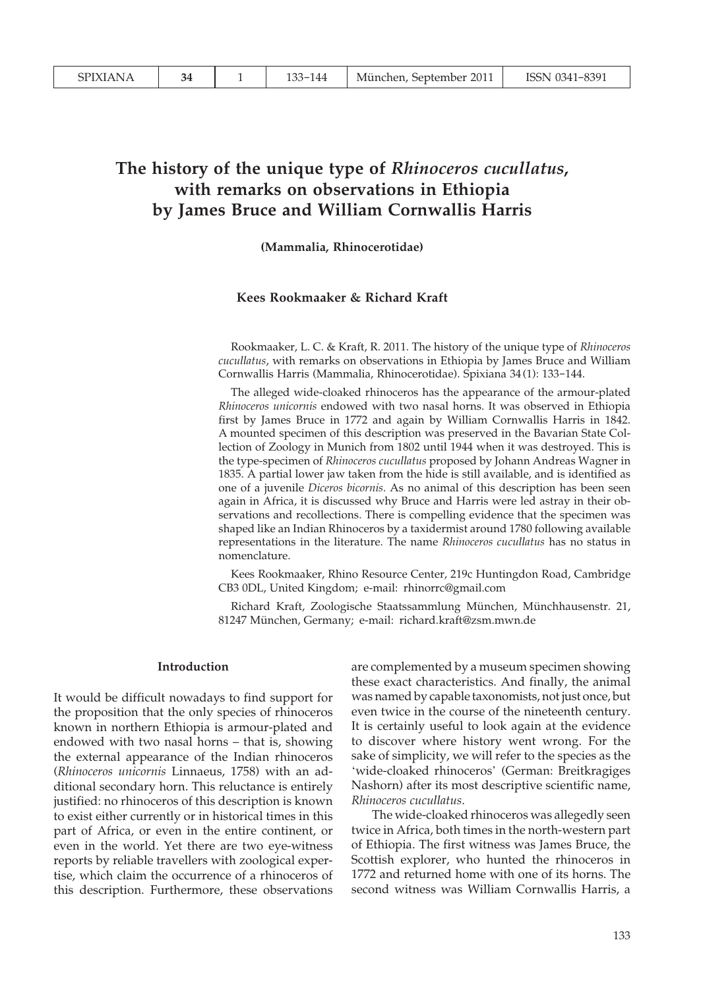# **The history of the unique type of** *Rhinoceros cucullatus***, with remarks on observations in Ethiopia by James Bruce and William Cornwallis Harris**

#### **(Mammalia, Rhinocerotidae)**

# **Kees Rookmaaker & Richard Kraft**

Rookmaaker, L. C. & Kraft, R. 2011. The history of the unique type of *Rhinoceros cucullatus*, with remarks on observations in Ethiopia by James Bruce and William Cornwallis Harris (Mammalia, Rhinocerotidae). Spixiana 34 (1): 133-144.

The alleged wide-cloaked rhinoceros has the appearance of the armour-plated *Rhinoceros unicornis* endowed with two nasal horns. It was observed in Ethiopia first by James Bruce in 1772 and again by William Cornwallis Harris in 1842. A mounted specimen of this description was preserved in the Bavarian State Collection of Zoology in Munich from 1802 until 1944 when it was destroyed. This is the type-specimen of *Rhinoceros cucullatus* proposed by Johann Andreas Wagner in 1835. A partial lower jaw taken from the hide is still available, and is identified as one of a juvenile *Diceros bicornis*. As no animal of this description has been seen again in Africa, it is discussed why Bruce and Harris were led astray in their observations and recollections. There is compelling evidence that the specimen was shaped like an Indian Rhinoceros by a taxidermist around 1780 following available representations in the literature. The name *Rhinoceros cucullatus* has no status in nomenclature.

Kees Rookmaaker, Rhino Resource Center, 219c Huntingdon Road, Cambridge CB3 0DL, United Kingdom; e-mail: rhinorrc@gmail.com

Richard Kraft, Zoologische Staatssammlung München, Münchhausenstr. 21, 81247 München, Germany; e-mail: richard.kraft@zsm.mwn.de

#### **Introduction**

It would be difficult nowadays to find support for the proposition that the only species of rhinoceros known in northern Ethiopia is armour-plated and endowed with two nasal horns – that is, showing the external appearance of the Indian rhinoceros (*Rhinoceros unicornis* Linnaeus, 1758) with an additional secondary horn. This reluctance is entirely justified: no rhinoceros of this description is known to exist either currently or in historical times in this part of Africa, or even in the entire continent, or even in the world. Yet there are two eye-witness reports by reliable travellers with zoological expertise, which claim the occurrence of a rhinoceros of this description. Furthermore, these observations

are complemented by a museum specimen showing these exact characteristics. And finally, the animal was named by capable taxonomists, not just once, but even twice in the course of the nineteenth century. It is certainly useful to look again at the evidence to discover where history went wrong. For the sake of simplicity, we will refer to the species as the 'wide-cloaked rhinoceros' (German: Breitkragiges Nashorn) after its most descriptive scientific name, *Rhinoceros cucullatus*.

 The wide-cloaked rhinoceros was allegedly seen twice in Africa, both times in the north-western part of Ethiopia. The first witness was James Bruce, the Scottish explorer, who hunted the rhinoceros in 1772 and returned home with one of its horns. The second witness was William Cornwallis Harris, a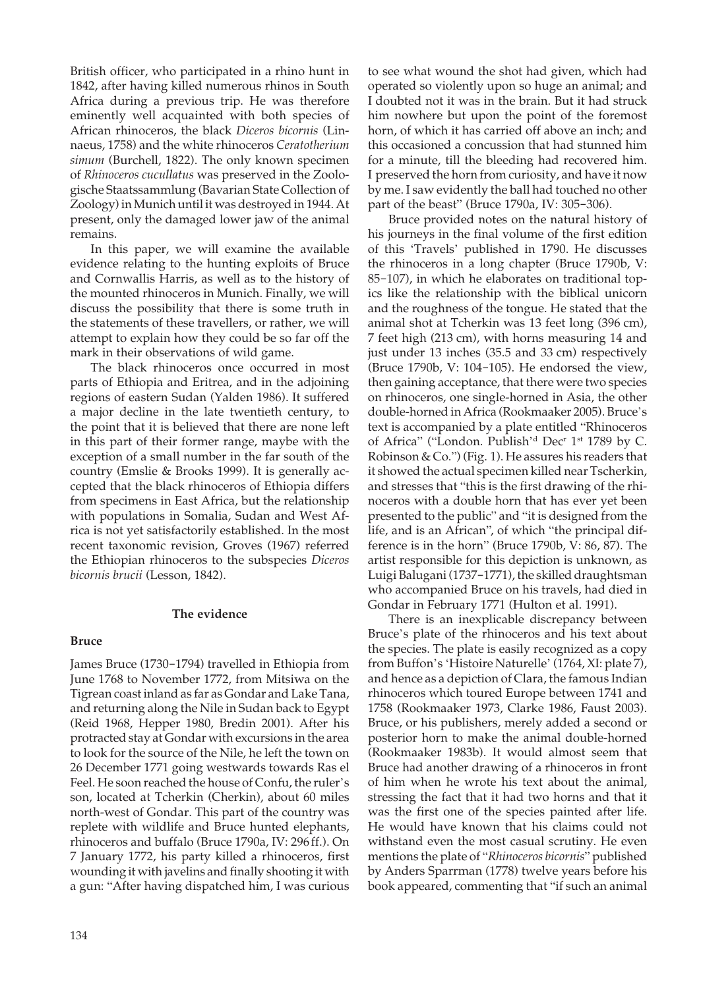British officer, who participated in a rhino hunt in 1842, after having killed numerous rhinos in South Africa during a previous trip. He was therefore eminently well acquainted with both species of African rhinoceros, the black *Diceros bicornis* (Linnaeus, 1758) and the white rhinoceros *Ceratotherium simum* (Burchell, 1822). The only known specimen of *Rhinoceros cucullatus* was preserved in the Zoologische Staatssammlung (Bavarian State Collection of Zoology) in Munich until it was destroyed in 1944. At present, only the damaged lower jaw of the animal remains.

 In this paper, we will examine the available evidence relating to the hunting exploits of Bruce and Cornwallis Harris, as well as to the history of the mounted rhinoceros in Munich. Finally, we will discuss the possibility that there is some truth in the statements of these travellers, or rather, we will attempt to explain how they could be so far off the mark in their observations of wild game.

 The black rhinoceros once occurred in most parts of Ethiopia and Eritrea, and in the adjoining regions of eastern Sudan (Yalden 1986). It suffered a major decline in the late twentieth century, to the point that it is believed that there are none left in this part of their former range, maybe with the exception of a small number in the far south of the country (Emslie & Brooks 1999). It is generally accepted that the black rhinoceros of Ethiopia differs from specimens in East Africa, but the relationship with populations in Somalia, Sudan and West Africa is not yet satisfactorily established. In the most recent taxonomic revision, Groves (1967) referred the Ethiopian rhinoceros to the subspecies *Diceros bicornis brucii* (Lesson, 1842).

### **The evidence**

#### **Bruce**

James Bruce (1730-1794) travelled in Ethiopia from June 1768 to November 1772, from Mitsiwa on the Tigrean coast inland as far as Gondar and Lake Tana, and returning along the Nile in Sudan back to Egypt (Reid 1968, Hepper 1980, Bredin 2001). After his protracted stay at Gondar with excursions in the area to look for the source of the Nile, he left the town on 26 December 1771 going westwards towards Ras el Feel. He soon reached the house of Confu, the ruler's son, located at Tcherkin (Cherkin), about 60 miles north-west of Gondar. This part of the country was replete with wildlife and Bruce hunted elephants, rhinoceros and buffalo (Bruce 1790a, IV: 296 ff.). On 7 January 1772, his party killed a rhinoceros, first wounding it with javelins and finally shooting it with a gun: "After having dispatched him, I was curious

to see what wound the shot had given, which had operated so violently upon so huge an animal; and I doubted not it was in the brain. But it had struck him nowhere but upon the point of the foremost horn, of which it has carried off above an inch; and this occasioned a concussion that had stunned him for a minute, till the bleeding had recovered him. I preserved the horn from curiosity, and have it now by me. I saw evidently the ball had touched no other part of the beast" (Bruce 1790a, IV: 305-306).

 Bruce provided notes on the natural history of his journeys in the final volume of the first edition of this 'Travels' published in 1790. He discusses the rhinoceros in a long chapter (Bruce 1790b, V: 85-107), in which he elaborates on traditional topics like the relationship with the biblical unicorn and the roughness of the tongue. He stated that the animal shot at Tcherkin was 13 feet long (396 cm), 7 feet high (213 cm), with horns measuring 14 and just under 13 inches (35.5 and 33 cm) respectively (Bruce 1790b, V: 104-105). He endorsed the view, then gaining acceptance, that there were two species on rhinoceros, one single-horned in Asia, the other double-horned in Africa (Rookmaaker 2005). Bruce's text is accompanied by a plate entitled "Rhinoceros of Africa" ("London. Publish'<sup>d</sup> Dec<sup>r</sup> 1<sup>st</sup> 1789 by C. Robinson & Co.") (Fig. 1). He assures his readers that it showed the actual specimen killed near Tscherkin, and stresses that "this is the first drawing of the rhinoceros with a double horn that has ever yet been presented to the public" and "it is designed from the life, and is an African", of which "the principal difference is in the horn" (Bruce 1790b,  $\overline{V}$ : 86, 87). The artist responsible for this depiction is unknown, as Luigi Balugani (1737-1771), the skilled draughtsman who accompanied Bruce on his travels, had died in Gondar in February 1771 (Hulton et al. 1991).

 There is an inexplicable discrepancy between Bruce's plate of the rhinoceros and his text about the species. The plate is easily recognized as a copy from Buffon's 'Histoire Naturelle' (1764, XI: plate 7), and hence as a depiction of Clara, the famous Indian rhinoceros which toured Europe between 1741 and 1758 (Rookmaaker 1973, Clarke 1986, Faust 2003). Bruce, or his publishers, merely added a second or posterior horn to make the animal double-horned (Rookmaaker 1983b). It would almost seem that Bruce had another drawing of a rhinoceros in front of him when he wrote his text about the animal, stressing the fact that it had two horns and that it was the first one of the species painted after life. He would have known that his claims could not withstand even the most casual scrutiny. He even mentions the plate of "*Rhinoceros bicornis*" published by Anders Sparrman (1778) twelve years before his book appeared, commenting that "if such an animal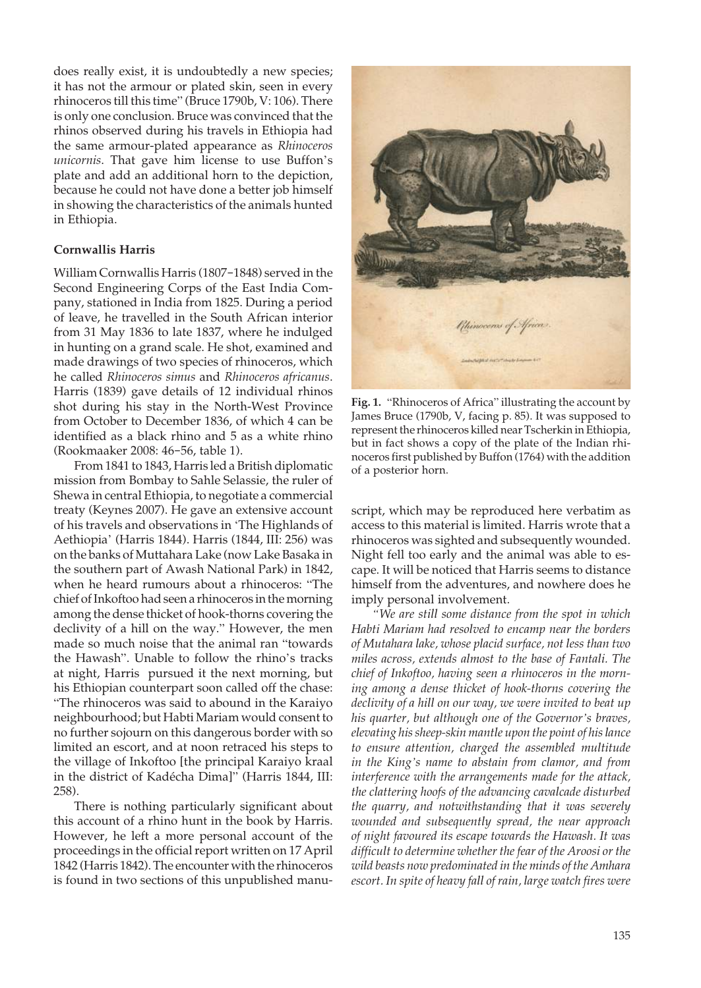does really exist, it is undoubtedly a new species; it has not the armour or plated skin, seen in every rhinoceros till this time" (Bruce 1790b, V: 106). There is only one conclusion. Bruce was convinced that the rhinos observed during his travels in Ethiopia had the same armour-plated appearance as *Rhinoceros unicornis*. That gave him license to use Buffon's plate and add an additional horn to the depiction, because he could not have done a better job himself in showing the characteristics of the animals hunted in Ethiopia.

## **Cornwallis Harris**

William Cornwallis Harris (1807-1848) served in the Second Engineering Corps of the East India Company, stationed in India from 1825. During a period of leave, he travelled in the South African interior from 31 May 1836 to late 1837, where he indulged in hunting on a grand scale. He shot, examined and made drawings of two species of rhinoceros, which he called *Rhinoceros simus* and *Rhinoceros africanus*. Harris (1839) gave details of 12 individual rhinos shot during his stay in the North-West Province from October to December 1836, of which 4 can be identified as a black rhino and 5 as a white rhino (Rookmaaker 2008: 46-56, table 1).

 From 1841 to 1843, Harris led a British diplomatic mission from Bombay to Sahle Selassie, the ruler of Shewa in central Ethiopia, to negotiate a commercial treaty (Keynes 2007). He gave an extensive account of his travels and observations in 'The Highlands of Aethiopia' (Harris 1844). Harris (1844, III: 256) was on the banks of Muttahara Lake (now Lake Basaka in the southern part of Awash National Park) in 1842, when he heard rumours about a rhinoceros: "The chief of Inkoftoo had seen a rhinoceros in the morning among the dense thicket of hook-thorns covering the declivity of a hill on the way." However, the men made so much noise that the animal ran "towards the Hawash". Unable to follow the rhino's tracks at night, Harris pursued it the next morning, but his Ethiopian counterpart soon called off the chase: "The rhinoceros was said to abound in the Karaiyo neighbourhood; but Habti Mariam would consent to no further sojourn on this dangerous border with so limited an escort, and at noon retraced his steps to the village of Inkoftoo [the principal Karaiyo kraal in the district of Kadécha Dima]" (Harris 1844, III: 258).

 There is nothing particularly significant about this account of a rhino hunt in the book by Harris. However, he left a more personal account of the proceedings in the official report written on 17 April 1842 (Harris 1842). The encounter with the rhinoceros is found in two sections of this unpublished manu-



**Fig. 1.** "Rhinoceros of Africa" illustrating the account by James Bruce (1790b, V, facing p. 85). It was supposed to represent the rhinoceros killed near Tscherkin in Ethiopia, but in fact shows a copy of the plate of the Indian rhinoceros first published by Buffon (1764) with the addition of a posterior horn.

script, which may be reproduced here verbatim as access to this material is limited. Harris wrote that a rhinoceros was sighted and subsequently wounded. Night fell too early and the animal was able to escape. It will be noticed that Harris seems to distance himself from the adventures, and nowhere does he imply personal involvement.

*"We are still some distance from the spot in which Habti Mariam had resolved to encamp near the borders of Mutahara lake, whose placid surface, not less than two miles across, extends almost to the base of Fantali. The chief of Inkoftoo, having seen a rhinoceros in the morning among a dense thicket of hook-thorns covering the declivity of a hill on our way, we were invited to beat up his quarter, but although one of the Governor's braves, elevating his sheep-skin mantle upon the point of his lance to ensure attention, charged the assembled multitude in the King's name to abstain from clamor, and from interference with the arrangements made for the attack, the clattering hoofs of the advancing cavalcade disturbed the quarry, and notwithstanding that it was severely wounded and subsequently spread, the near approach of night favoured its escape towards the Hawash. It was difficult to determine whether the fear of the Aroosi or the wild beasts now predominated in the minds of the Amhara escort. In spite of heavy fall of rain, large watch fires were*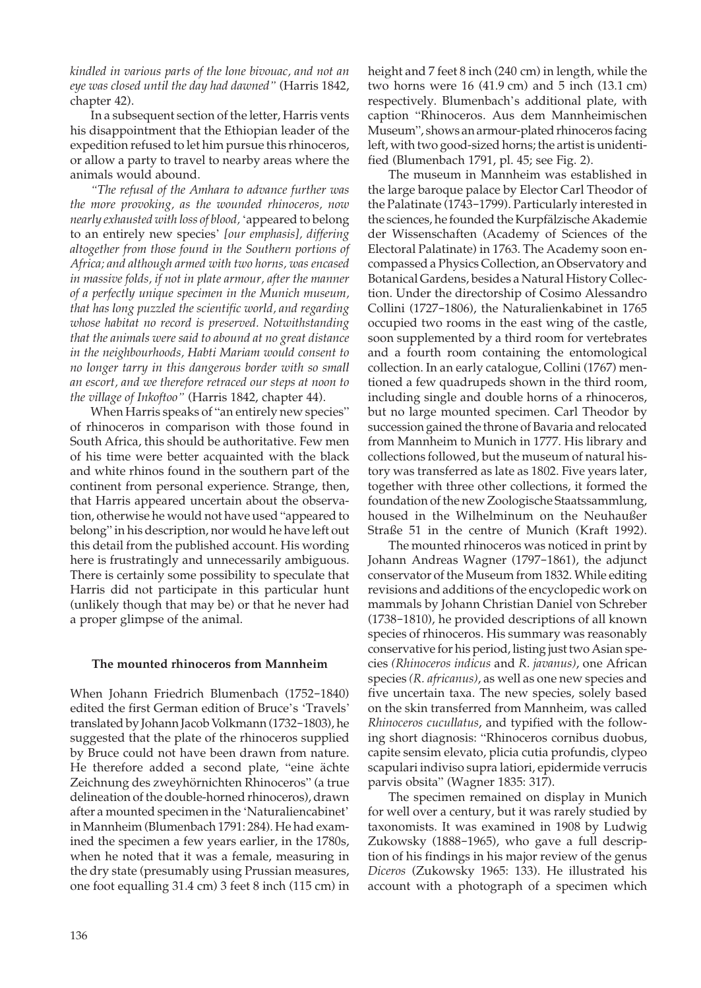*kindled in various parts of the lone bivouac, and not an eye was closed until the day had dawned"* (Harris 1842, chapter 42).

 In a subsequent section of the letter, Harris vents his disappointment that the Ethiopian leader of the expedition refused to let him pursue this rhinoceros, or allow a party to travel to nearby areas where the animals would abound.

*"The refusal of the Amhara to advance further was the more provoking, as the wounded rhinoceros, now nearly exhausted with loss of blood,* 'appeared to belong to an entirely new species' *[our emphasis], differing altogether from those found in the Southern portions of Africa; and although armed with two horns, was encased in massive folds, if not in plate armour, after the manner of a perfectly unique specimen in the Munich museum, that has long puzzled the scientific world, and regarding whose habitat no record is preserved. Notwithstanding that the animals were said to abound at no great distance in the neighbourhoods, Habti Mariam would consent to no longer tarry in this dangerous border with so small an escort, and we therefore retraced our steps at noon to the village of Inkoftoo"* (Harris 1842, chapter 44).

 When Harris speaks of "an entirely new species" of rhinoceros in comparison with those found in South Africa, this should be authoritative. Few men of his time were better acquainted with the black and white rhinos found in the southern part of the continent from personal experience. Strange, then, that Harris appeared uncertain about the observation, otherwise he would not have used "appeared to belong" in his description, nor would he have left out this detail from the published account. His wording here is frustratingly and unnecessarily ambiguous. There is certainly some possibility to speculate that Harris did not participate in this particular hunt (unlikely though that may be) or that he never had a proper glimpse of the animal.

## **The mounted rhinoceros from Mannheim**

When Johann Friedrich Blumenbach (1752-1840) edited the first German edition of Bruce's 'Travels' translated by Johann Jacob Volkmann (1732-1803), he suggested that the plate of the rhinoceros supplied by Bruce could not have been drawn from nature. He therefore added a second plate, "eine ächte Zeichnung des zweyhörnichten Rhinoceros" (a true delineation of the double-horned rhinoceros), drawn after a mounted specimen in the 'Naturaliencabinet' in Mannheim (Blumenbach 1791: 284). He had examined the specimen a few years earlier, in the 1780s, when he noted that it was a female, measuring in the dry state (presumably using Prussian measures, one foot equalling 31.4 cm) 3 feet 8 inch (115 cm) in

height and 7 feet 8 inch (240 cm) in length, while the two horns were 16 (41.9 cm) and 5 inch (13.1 cm) respectively. Blumenbach's additional plate, with caption "Rhinoceros. Aus dem Mannheimischen Museum", shows an armour-plated rhinoceros facing left, with two good-sized horns; the artist is unidentified (Blumenbach 1791, pl. 45; see Fig. 2).

 The museum in Mannheim was established in the large baroque palace by Elector Carl Theodor of the Palatinate (1743-1799). Particularly interested in the sciences, he founded the Kurpfälzische Akademie der Wissenschaften (Academy of Sciences of the Electoral Palatinate) in 1763. The Academy soon encompassed a Physics Collection, an Observatory and Botanical Gardens, besides a Natural History Collection. Under the directorship of Cosimo Alessandro Collini (1727-1806), the Naturalienkabinet in 1765 occupied two rooms in the east wing of the castle, soon supplemented by a third room for vertebrates and a fourth room containing the entomological collection. In an early catalogue, Collini (1767) mentioned a few quadrupeds shown in the third room, including single and double horns of a rhinoceros, but no large mounted specimen. Carl Theodor by succession gained the throne of Bavaria and relocated from Mannheim to Munich in 1777. His library and collections followed, but the museum of natural history was transferred as late as 1802. Five years later, together with three other collections, it formed the foundation of the new Zoologische Staatssammlung, housed in the Wilhelminum on the Neuhaußer Straße 51 in the centre of Munich (Kraft 1992).

 The mounted rhinoceros was noticed in print by Johann Andreas Wagner (1797-1861), the adjunct conservator of the Museum from 1832. While editing revisions and additions of the encyclopedic work on mammals by Johann Christian Daniel von Schreber (1738-1810), he provided descriptions of all known species of rhinoceros. His summary was reasonably conservative for his period, listing just two Asian species *(Rhinoceros indicus* and *R. javanus)*, one African species *(R. africanus)*, as well as one new species and five uncertain taxa. The new species, solely based on the skin transferred from Mannheim, was called *Rhinoceros cucullatus*, and typified with the following short diagnosis: "Rhinoceros cornibus duobus, capite sensim elevato, plicia cutia profundis, clypeo scapulari indiviso supra latiori, epidermide verrucis parvis obsita" (Wagner 1835: 317).

 The specimen remained on display in Munich for well over a century, but it was rarely studied by taxonomists. It was examined in 1908 by Ludwig Zukowsky (1888-1965), who gave a full description of his findings in his major review of the genus *Diceros* (Zukowsky 1965: 133). He illustrated his account with a photograph of a specimen which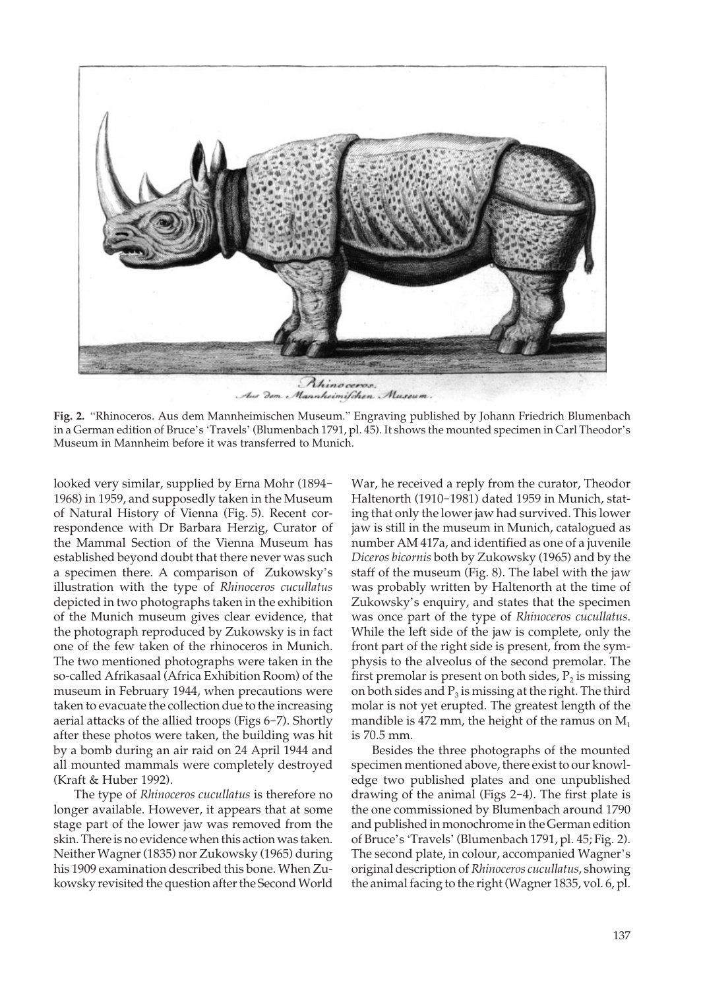

Aus dem Mannheimischen Museum.

**Fig. 2.** "Rhinoceros. Aus dem Mannheimischen Museum." Engraving published by Johann Friedrich Blumenbach in a German edition of Bruce's 'Travels' (Blumenbach 1791, pl. 45). It shows the mounted specimen in Carl Theodor's Museum in Mannheim before it was transferred to Munich.

looked very similar, supplied by Erna Mohr (1894- 1968) in 1959, and supposedly taken in the Museum of Natural History of Vienna (Fig. 5). Recent correspondence with Dr Barbara Herzig, Curator of the Mammal Section of the Vienna Museum has established beyond doubt that there never was such a specimen there. A comparison of Zukowsky's illustration with the type of *Rhinoceros cucullatus*  depicted in two photographs taken in the exhibition of the Munich museum gives clear evidence, that the photograph reproduced by Zukowsky is in fact one of the few taken of the rhinoceros in Munich. The two mentioned photographs were taken in the so-called Afrikasaal (Africa Exhibition Room) of the museum in February 1944, when precautions were taken to evacuate the collection due to the increasing aerial attacks of the allied troops (Figs 6-7). Shortly after these photos were taken, the building was hit by a bomb during an air raid on 24 April 1944 and all mounted mammals were completely destroyed (Kraft & Huber 1992).

 The type of *Rhinoceros cucullatus* is therefore no longer available. However, it appears that at some stage part of the lower jaw was removed from the skin. There is no evidence when this action was taken. Neither Wagner (1835) nor Zukowsky (1965) during his 1909 examination described this bone. When Zukowsky revisited the question after the Second World

War, he received a reply from the curator, Theodor Haltenorth (1910-1981) dated 1959 in Munich, stating that only the lower jaw had survived. This lower jaw is still in the museum in Munich, catalogued as number AM 417a, and identified as one of a juvenile *Diceros bicornis* both by Zukowsky (1965) and by the staff of the museum (Fig. 8). The label with the jaw was probably written by Haltenorth at the time of Zukowsky's enquiry, and states that the specimen was once part of the type of *Rhinoceros cucullatus*. While the left side of the jaw is complete, only the front part of the right side is present, from the symphysis to the alveolus of the second premolar. The first premolar is present on both sides,  $P_2$  is missing on both sides and  $P_3$  is missing at the right. The third molar is not yet erupted. The greatest length of the mandible is 472 mm, the height of the ramus on  $M_1$ is 70.5 mm.

 Besides the three photographs of the mounted specimen mentioned above, there exist to our knowledge two published plates and one unpublished drawing of the animal (Figs 2-4). The first plate is the one commissioned by Blumenbach around 1790 and published in monochrome in the German edition of Bruce's 'Travels' (Blumenbach 1791, pl. 45; Fig. 2). The second plate, in colour, accompanied Wagner's original description of *Rhinoceros cucullatus*, showing the animal facing to the right (Wagner 1835, vol. 6, pl.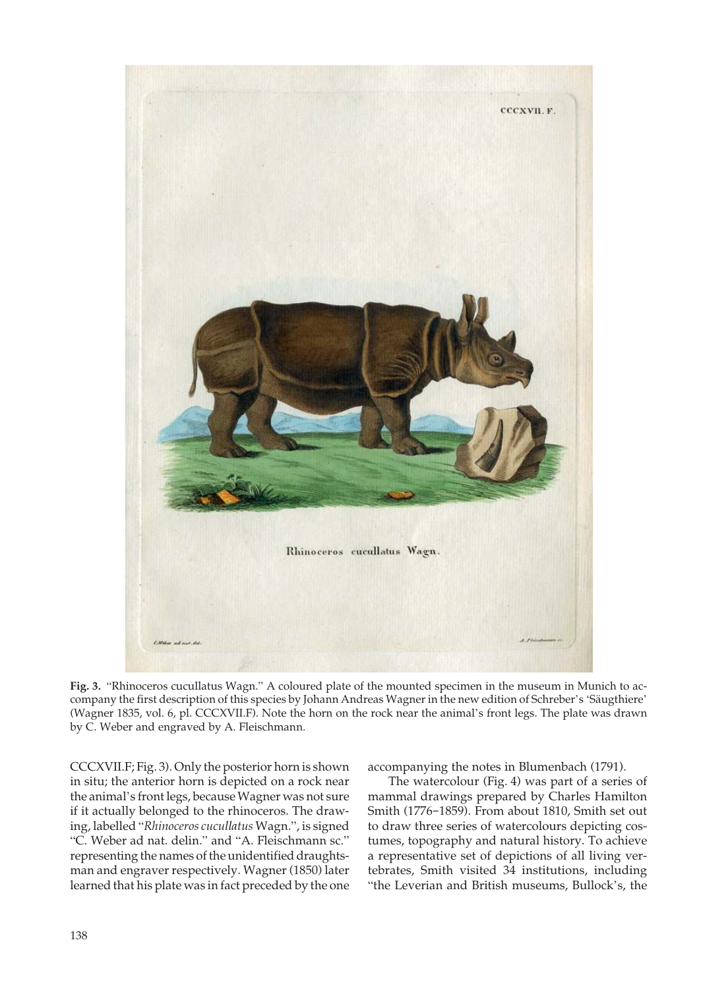

**Fig. 3.** "Rhinoceros cucullatus Wagn." A coloured plate of the mounted specimen in the museum in Munich to accompany the first description of this species by Johann Andreas Wagner in the new edition of Schreber's 'Säugthiere' (Wagner 1835, vol. 6, pl. CCCXVII.F). Note the horn on the rock near the animal's front legs. The plate was drawn by C. Weber and engraved by A. Fleischmann.

CCCXVII.F; Fig. 3). Only the posterior horn is shown in situ; the anterior horn is depicted on a rock near the animal's front legs, because Wagner was not sure if it actually belonged to the rhinoceros. The drawing, labelled "*Rhinoceros cucullatus* Wagn.", is signed "C. Weber ad nat. delin." and "A. Fleischmann sc." representing the names of the unidentified draughtsman and engraver respectively. Wagner (1850) later learned that his plate was in fact preceded by the one

accompanying the notes in Blumenbach (1791).

 The watercolour (Fig. 4) was part of a series of mammal drawings prepared by Charles Hamilton Smith (1776-1859). From about 1810, Smith set out to draw three series of watercolours depicting costumes, topography and natural history. To achieve a representative set of depictions of all living vertebrates, Smith visited 34 institutions, including "the Leverian and British museums, Bullock's, the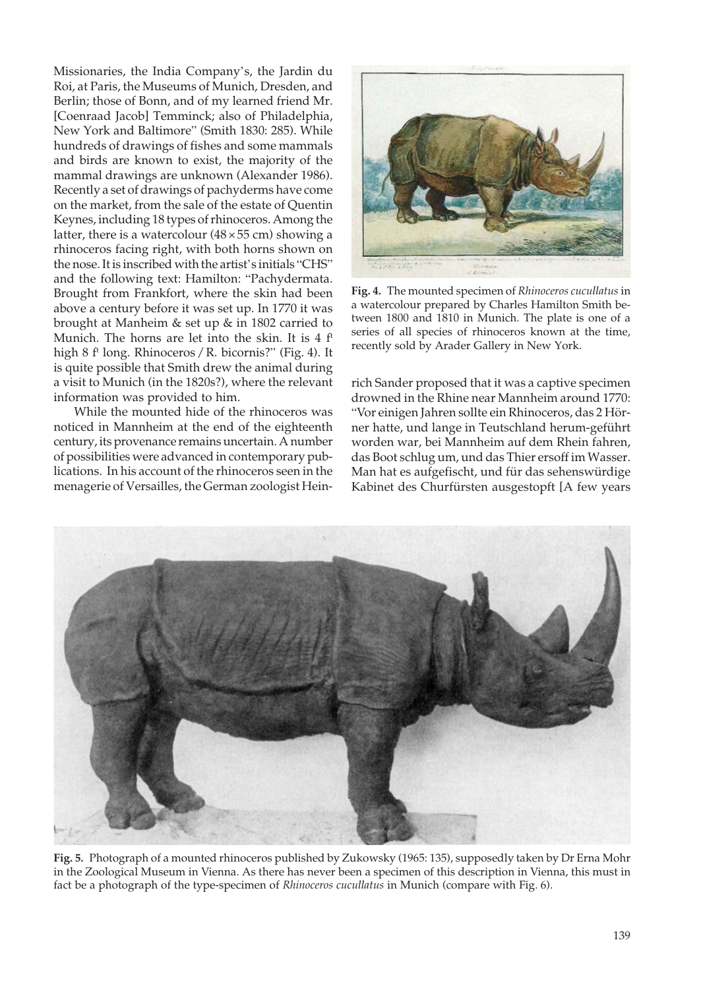Missionaries, the India Company's, the Jardin du Roi, at Paris, the Museums of Munich, Dresden, and Berlin; those of Bonn, and of my learned friend Mr. [Coenraad Jacob] Temminck; also of Philadelphia, New York and Baltimore" (Smith 1830: 285). While hundreds of drawings of fishes and some mammals and birds are known to exist, the majority of the mammal drawings are unknown (Alexander 1986). Recently a set of drawings of pachyderms have come on the market, from the sale of the estate of Quentin Keynes, including 18 types of rhinoceros. Among the latter, there is a watercolour  $(48 \times 55 \text{ cm})$  showing a rhinoceros facing right, with both horns shown on the nose. It is inscribed with the artist's initials "CHS" and the following text: Hamilton: "Pachydermata. Brought from Frankfort, where the skin had been above a century before it was set up. In 1770 it was brought at Manheim & set up & in 1802 carried to Munich. The horns are let into the skin. It is 4 f<sup>t</sup> high 8 f<sup>t</sup> long. Rhinoceros / R. bicornis?" (Fig. 4). It is quite possible that Smith drew the animal during a visit to Munich (in the 1820s?), where the relevant information was provided to him.

 While the mounted hide of the rhinoceros was noticed in Mannheim at the end of the eighteenth century, its provenance remains uncertain. A number of possibilities were advanced in contemporary publications. In his account of the rhinoceros seen in the menagerie of Versailles, the German zoologist Hein-



**Fig. 4.** The mounted specimen of *Rhinoceros cucullatus* in a watercolour prepared by Charles Hamilton Smith between 1800 and 1810 in Munich. The plate is one of a series of all species of rhinoceros known at the time, recently sold by Arader Gallery in New York.

rich Sander proposed that it was a captive specimen drowned in the Rhine near Mannheim around 1770: "Vor einigen Jahren sollte ein Rhinoceros, das 2 Hörner hatte, und lange in Teutschland herum-geführt worden war, bei Mannheim auf dem Rhein fahren, das Boot schlug um, und das Thier ersoff im Wasser. Man hat es aufgefischt, und für das sehenswürdige Kabinet des Churfürsten ausgestopft [A few years



**Fig. 5.** Photograph of a mounted rhinoceros published by Zukowsky (1965: 135), supposedly taken by Dr Erna Mohr in the Zoological Museum in Vienna. As there has never been a specimen of this description in Vienna, this must in fact be a photograph of the type-specimen of *Rhinoceros cucullatus* in Munich (compare with Fig. 6).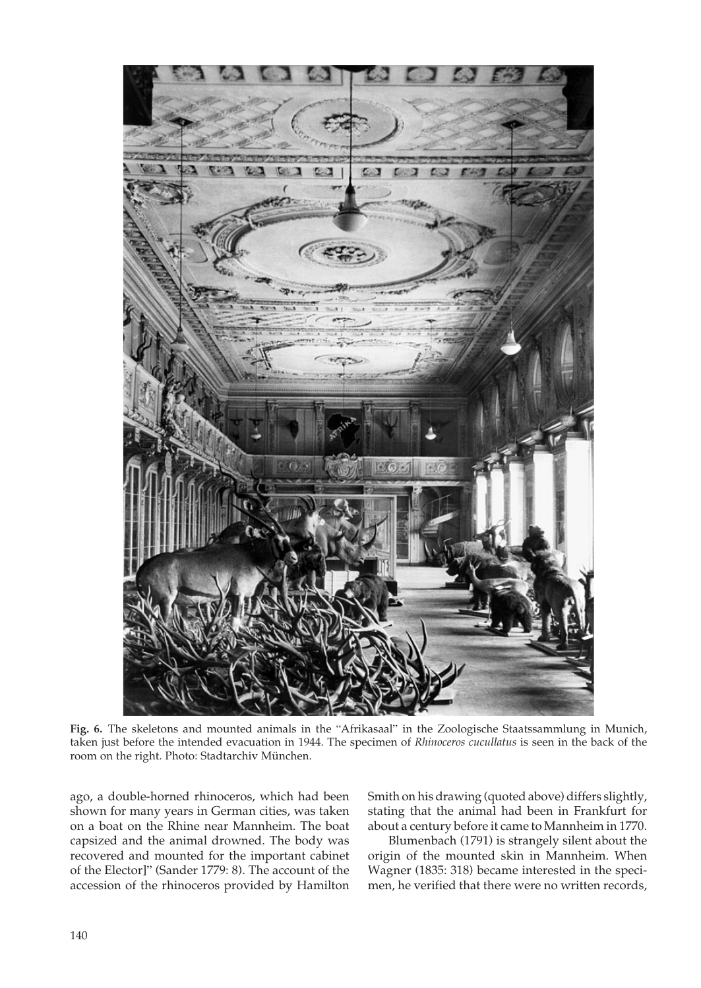

**Fig. 6.** The skeletons and mounted animals in the "Afrikasaal" in the Zoologische Staatssammlung in Munich, taken just before the intended evacuation in 1944. The specimen of *Rhinoceros cucullatus* is seen in the back of the room on the right. Photo: Stadtarchiv München.

ago, a double-horned rhinoceros, which had been shown for many years in German cities, was taken on a boat on the Rhine near Mannheim. The boat capsized and the animal drowned. The body was recovered and mounted for the important cabinet of the Elector]" (Sander 1779: 8). The account of the accession of the rhinoceros provided by Hamilton Smith on his drawing (quoted above) differs slightly, stating that the animal had been in Frankfurt for about a century before it came to Mannheim in 1770.

 Blumenbach (1791) is strangely silent about the origin of the mounted skin in Mannheim. When Wagner (1835: 318) became interested in the specimen, he verified that there were no written records,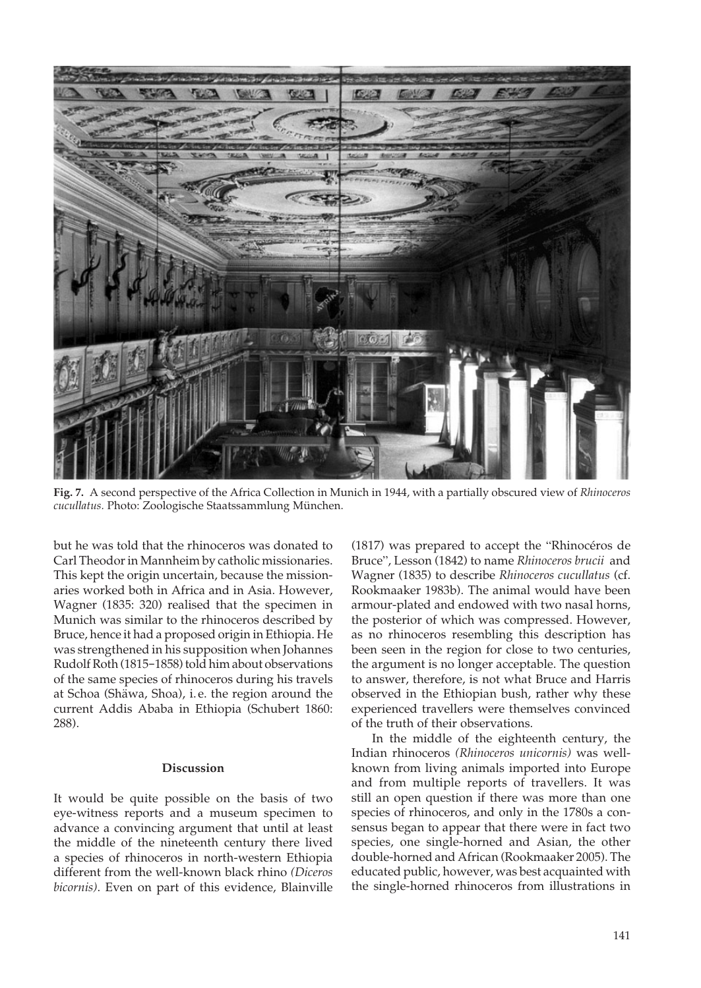

Fig. 7. A second perspective of the Africa Collection in Munich in 1944, with a partially obscured view of *Rhinoceros cucullatus.* Photo: Zoologische Staatssammlung München.

but he was told that the rhinoceros was donated to Carl Theodor in Mannheim by catholic missionaries. This kept the origin uncertain, because the missionaries worked both in Africa and in Asia. However, Wagner (1835: 320) realised that the specimen in Munich was similar to the rhinoceros described by Bruce, hence it had a proposed origin in Ethiopia. He was strengthened in his supposition when Johannes Rudolf Roth (1815-1858) told him about observations of the same species of rhinoceros during his travels at Schoa (Shäwa, Shoa), i. e. the region around the current Addis Ababa in Ethiopia (Schubert 1860: 288).

## **Discussion**

It would be quite possible on the basis of two eye-witness reports and a museum specimen to advance a convincing argument that until at least the middle of the nineteenth century there lived a species of rhinoceros in north-western Ethiopia different from the well-known black rhino *(Diceros bicornis)*. Even on part of this evidence, Blainville

(1817) was prepared to accept the "Rhinocéros de Bruce", Lesson (1842) to name *Rhinoceros brucii* and Wagner (1835) to describe *Rhinoceros cucullatus* (cf. Rookmaaker 1983b). The animal would have been armour-plated and endowed with two nasal horns, the posterior of which was compressed. However, as no rhinoceros resembling this description has been seen in the region for close to two centuries, the argument is no longer acceptable. The question to answer, therefore, is not what Bruce and Harris observed in the Ethiopian bush, rather why these experienced travellers were themselves convinced of the truth of their observations.

 In the middle of the eighteenth century, the Indian rhinoceros *(Rhinoceros unicornis)* was wellknown from living animals imported into Europe and from multiple reports of travellers. It was still an open question if there was more than one species of rhinoceros, and only in the 1780s a consensus began to appear that there were in fact two species, one single-horned and Asian, the other double-horned and African (Rookmaaker 2005). The educated public, however, was best acquainted with the single-horned rhinoceros from illustrations in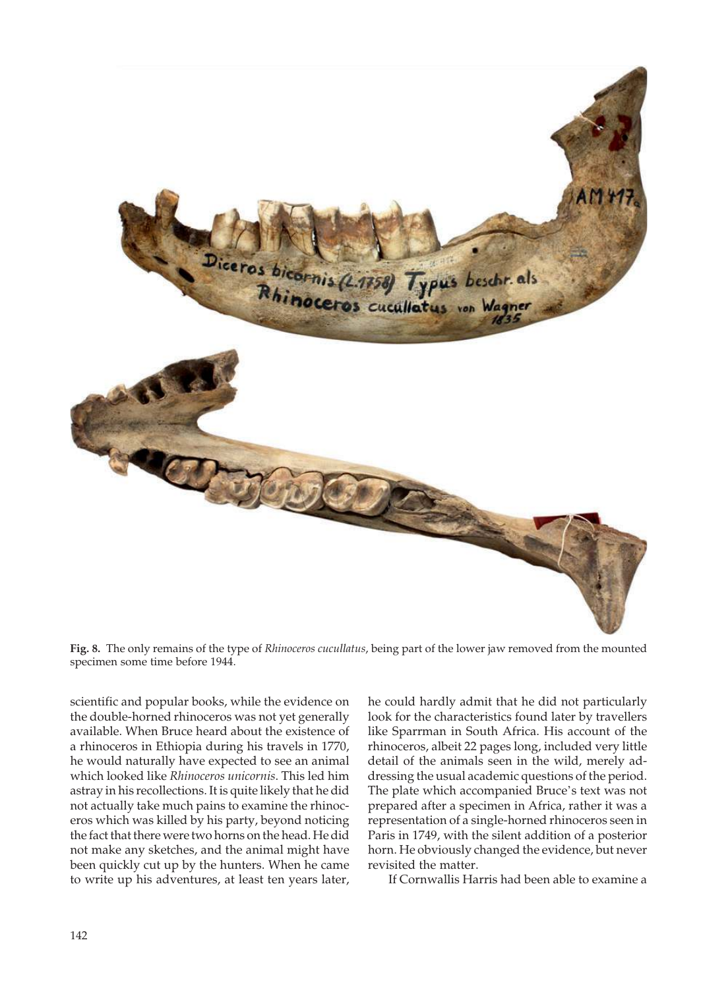

**Fig. 8.** The only remains of the type of *Rhinoceros cucullatus*, being part of the lower jaw removed from the mounted specimen some time before 1944.

scientific and popular books, while the evidence on the double-horned rhinoceros was not yet generally available. When Bruce heard about the existence of a rhinoceros in Ethiopia during his travels in 1770, he would naturally have expected to see an animal which looked like *Rhinoceros unicornis*. This led him astray in his recollections. It is quite likely that he did not actually take much pains to examine the rhinoceros which was killed by his party, beyond noticing the fact that there were two horns on the head. He did not make any sketches, and the animal might have been quickly cut up by the hunters. When he came to write up his adventures, at least ten years later, he could hardly admit that he did not particularly look for the characteristics found later by travellers like Sparrman in South Africa. His account of the rhinoceros, albeit 22 pages long, included very little detail of the animals seen in the wild, merely addressing the usual academic questions of the period. The plate which accompanied Bruce's text was not prepared after a specimen in Africa, rather it was a representation of a single-horned rhinoceros seen in Paris in 1749, with the silent addition of a posterior horn. He obviously changed the evidence, but never revisited the matter.

If Cornwallis Harris had been able to examine a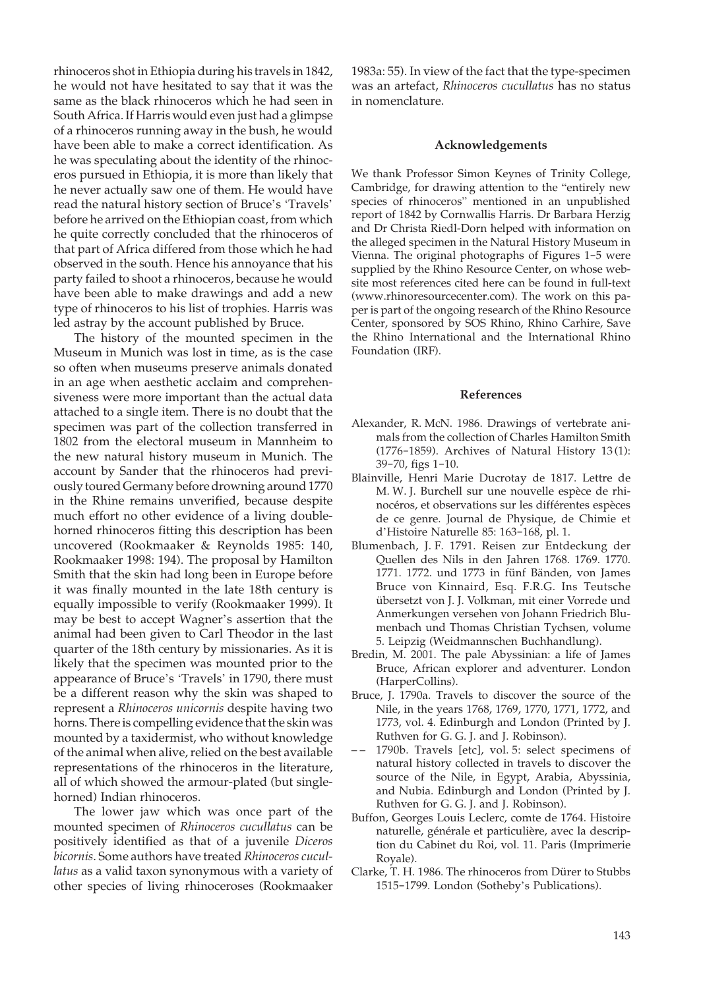rhinoceros shot in Ethiopia during his travels in 1842, he would not have hesitated to say that it was the same as the black rhinoceros which he had seen in South Africa. If Harris would even just had a glimpse of a rhinoceros running away in the bush, he would have been able to make a correct identification. As he was speculating about the identity of the rhinoceros pursued in Ethiopia, it is more than likely that he never actually saw one of them. He would have read the natural history section of Bruce's 'Travels' before he arrived on the Ethiopian coast, from which he quite correctly concluded that the rhinoceros of that part of Africa differed from those which he had observed in the south. Hence his annoyance that his party failed to shoot a rhinoceros, because he would have been able to make drawings and add a new type of rhinoceros to his list of trophies. Harris was led astray by the account published by Bruce.

 The history of the mounted specimen in the Museum in Munich was lost in time, as is the case so often when museums preserve animals donated in an age when aesthetic acclaim and comprehensiveness were more important than the actual data attached to a single item. There is no doubt that the specimen was part of the collection transferred in 1802 from the electoral museum in Mannheim to the new natural history museum in Munich. The account by Sander that the rhinoceros had previously toured Germany before drowning around 1770 in the Rhine remains unverified, because despite much effort no other evidence of a living doublehorned rhinoceros fitting this description has been uncovered (Rookmaaker & Reynolds 1985: 140, Rookmaaker 1998: 194). The proposal by Hamilton Smith that the skin had long been in Europe before it was finally mounted in the late 18th century is equally impossible to verify (Rookmaaker 1999). It may be best to accept Wagner's assertion that the animal had been given to Carl Theodor in the last quarter of the 18th century by missionaries. As it is likely that the specimen was mounted prior to the appearance of Bruce's 'Travels' in 1790, there must be a different reason why the skin was shaped to represent a *Rhinoceros unicornis* despite having two horns. There is compelling evidence that the skin was mounted by a taxidermist, who without knowledge of the animal when alive, relied on the best available representations of the rhinoceros in the literature, all of which showed the armour-plated (but singlehorned) Indian rhinoceros.

 The lower jaw which was once part of the mounted specimen of *Rhinoceros cucullatus* can be positively identified as that of a juvenile *Diceros bicornis*. Some authors have treated *Rhinoceros cucullatus* as a valid taxon synonymous with a variety of other species of living rhinoceroses (Rookmaaker

1983a: 55). In view of the fact that the type-specimen was an artefact, *Rhinoceros cucullatus* has no status in nomenclature.

#### **Acknowledgements**

We thank Professor Simon Keynes of Trinity College, Cambridge, for drawing attention to the "entirely new species of rhinoceros" mentioned in an unpublished report of 1842 by Cornwallis Harris. Dr Barbara Herzig and Dr Christa Riedl-Dorn helped with information on the alleged specimen in the Natural History Museum in Vienna. The original photographs of Figures 1-5 were supplied by the Rhino Resource Center, on whose website most references cited here can be found in full-text (www.rhinoresourcecenter.com). The work on this paper is part of the ongoing research of the Rhino Resource Center, sponsored by SOS Rhino, Rhino Carhire, Save the Rhino International and the International Rhino Foundation (IRF).

#### **References**

- Alexander, R. McN. 1986. Drawings of vertebrate animals from the collection of Charles Hamilton Smith (1776-1859). Archives of Natural History 13 (1): 39-70, figs 1-10.
- Blainville, Henri Marie Ducrotay de 1817. Lettre de M. W. J. Burchell sur une nouvelle espèce de rhinocéros, et observations sur les différentes espèces de ce genre. Journal de Physique, de Chimie et d'Histoire Naturelle 85: 163-168, pl. 1.
- Blumenbach, J. F. 1791. Reisen zur Entdeckung der Quellen des Nils in den Jahren 1768. 1769. 1770. 1771. 1772. und 1773 in fünf Bänden, von James Bruce von Kinnaird, Esq. F.R.G. Ins Teutsche übersetzt von J. J. Volkman, mit einer Vorrede und Anmerkungen versehen von Johann Friedrich Blumenbach und Thomas Christian Tychsen, volume 5. Leipzig (Weidmannschen Buchhandlung).
- Bredin, M. 2001. The pale Abyssinian: a life of James Bruce, African explorer and adventurer. London (HarperCollins).
- Bruce, J. 1790a. Travels to discover the source of the Nile, in the years 1768, 1769, 1770, 1771, 1772, and 1773, vol. 4. Edinburgh and London (Printed by J. Ruthven for G. G. J. and J. Robinson).
- 1790b. Travels [etc], vol. 5: select specimens of natural history collected in travels to discover the source of the Nile, in Egypt, Arabia, Abyssinia, and Nubia. Edinburgh and London (Printed by J. Ruthven for G. G. J. and J. Robinson).
- Buffon, Georges Louis Leclerc, comte de 1764. Histoire naturelle, générale et particulière, avec la description du Cabinet du Roi, vol. 11. Paris (Imprimerie Royale).
- Clarke, T. H. 1986. The rhinoceros from Dürer to Stubbs 1515-1799. London (Sotheby's Publications).